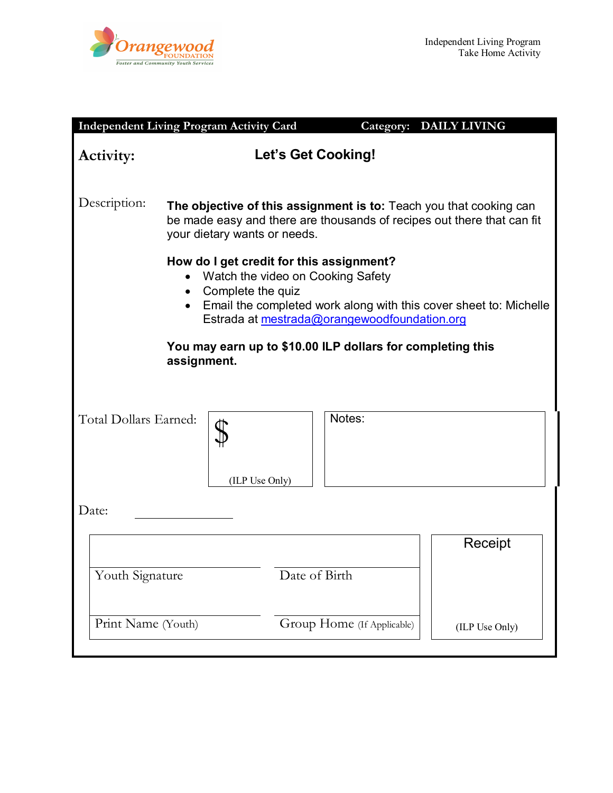

| <b>Independent Living Program Activity Card</b>                                                                                                                                                                                                                                                                 |                                                                                                                                                                              |                |               |                            | Category: DAILY LIVING |  |
|-----------------------------------------------------------------------------------------------------------------------------------------------------------------------------------------------------------------------------------------------------------------------------------------------------------------|------------------------------------------------------------------------------------------------------------------------------------------------------------------------------|----------------|---------------|----------------------------|------------------------|--|
| Activity:                                                                                                                                                                                                                                                                                                       | Let's Get Cooking!                                                                                                                                                           |                |               |                            |                        |  |
| Description:                                                                                                                                                                                                                                                                                                    | The objective of this assignment is to: Teach you that cooking can<br>be made easy and there are thousands of recipes out there that can fit<br>your dietary wants or needs. |                |               |                            |                        |  |
| How do I get credit for this assignment?<br>Watch the video on Cooking Safety<br>$\bullet$<br>Complete the quiz<br>$\bullet$<br>Email the completed work along with this cover sheet to: Michelle<br>Estrada at mestrada@orangewoodfoundation.org<br>You may earn up to \$10.00 ILP dollars for completing this |                                                                                                                                                                              |                |               |                            |                        |  |
| assignment.                                                                                                                                                                                                                                                                                                     |                                                                                                                                                                              |                |               |                            |                        |  |
| Total Dollars Earned:                                                                                                                                                                                                                                                                                           |                                                                                                                                                                              | (ILP Use Only) |               | Notes:                     |                        |  |
| Date:                                                                                                                                                                                                                                                                                                           |                                                                                                                                                                              |                |               |                            |                        |  |
|                                                                                                                                                                                                                                                                                                                 |                                                                                                                                                                              |                |               |                            | Receipt                |  |
| Youth Signature                                                                                                                                                                                                                                                                                                 |                                                                                                                                                                              |                | Date of Birth |                            |                        |  |
| Print Name (Youth)                                                                                                                                                                                                                                                                                              |                                                                                                                                                                              |                |               | Group Home (If Applicable) | (ILP Use Only)         |  |
|                                                                                                                                                                                                                                                                                                                 |                                                                                                                                                                              |                |               |                            |                        |  |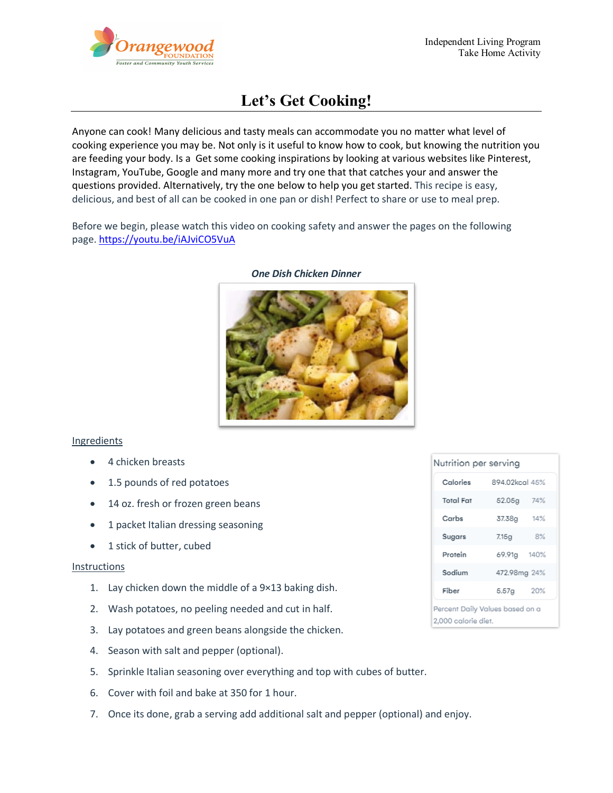

# **Let's Get Cooking!**

Anyone can cook! Many delicious and tasty meals can accommodate you no matter what level of cooking experience you may be. Not only is it useful to know how to cook, but knowing the nutrition you are feeding your body. Is a Get some cooking inspirations by looking at various websites like Pinterest, Instagram, YouTube, Google and many more and try one that that catches your and answer the questions provided. Alternatively, try the one below to help you get started. This recipe is easy, delicious, and best of all can be cooked in one pan or dish! Perfect to share or use to meal prep.

Before we begin, please watch this video on cooking safety and answer the pages on the following page.<https://youtu.be/iAJviCO5VuA>



#### *One Dish Chicken Dinner*

### Ingredients

- 4 chicken breasts
- 1.5 pounds of red potatoes
- 14 oz. fresh or frozen green beans
- 1 packet Italian dressing seasoning
- 1 stick of butter, cubed

### Instructions

- 1. Lay chicken down the middle of a 9×13 baking dish.
- 2. Wash potatoes, no peeling needed and cut in half.
- 3. Lay potatoes and green beans alongside the chicken.
- 4. Season with salt and pepper (optional).
- 5. Sprinkle Italian seasoning over everything and top with cubes of butter.
- 6. Cover with foil and bake at 350 for 1 hour.
- 7. Once its done, grab a serving add additional salt and pepper (optional) and enjoy.

| Nutrition per serving                                  |                |     |  |  |  |
|--------------------------------------------------------|----------------|-----|--|--|--|
| Calories                                               | 894.02kcgl 45% |     |  |  |  |
| <b>Total Fat</b>                                       | 52.05g         | 74% |  |  |  |
| Carbs                                                  | 37.38g         | 14% |  |  |  |
| Sugars                                                 | 7.15g          | 8%  |  |  |  |
| Protein                                                | 69.91g 140%    |     |  |  |  |
| Sodium                                                 | 472.98mg 24%   |     |  |  |  |
| Fiber                                                  | 5.57g          | 20% |  |  |  |
| Percent Daily Values based on a<br>2,000 calorie diet. |                |     |  |  |  |